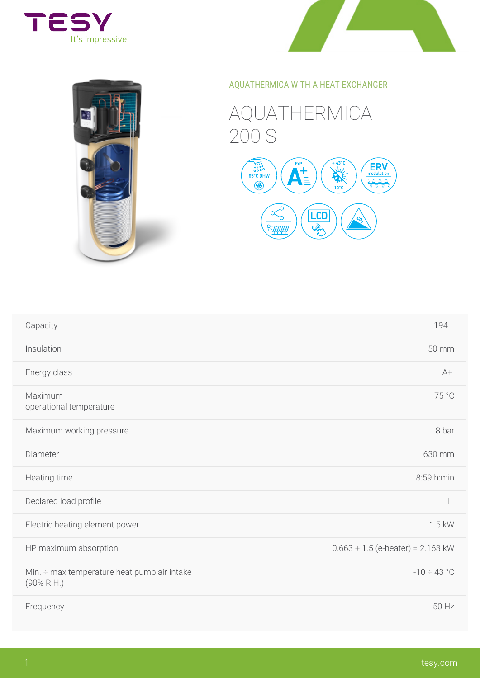

## AQUATHERMICA WITH A HEAT EXCHAN

## AQUATHERMICA 200 S



| Capacity                                                          | 194 L                      |
|-------------------------------------------------------------------|----------------------------|
| Insulation                                                        | 50 mm                      |
| Energy class                                                      | $A +$                      |
| Maximum<br>operational temperature                                | 75 °C                      |
| Maximum working pressure                                          | 8 bar                      |
| Diameter                                                          | 630 mm                     |
| Heating time                                                      | 8:59 h:min                 |
| Declared load proûle                                              | L                          |
| Electric heating element power                                    | 1.5 kW                     |
| HP maximum absorption                                             | $0.663 + 1.5$ (e-heater) = |
| Min. $\div$ max temperature heat pump air intake<br>$(90\%$ R.H.) | $-10 \div 43$ °            |
| Frequency                                                         | 50 Hz                      |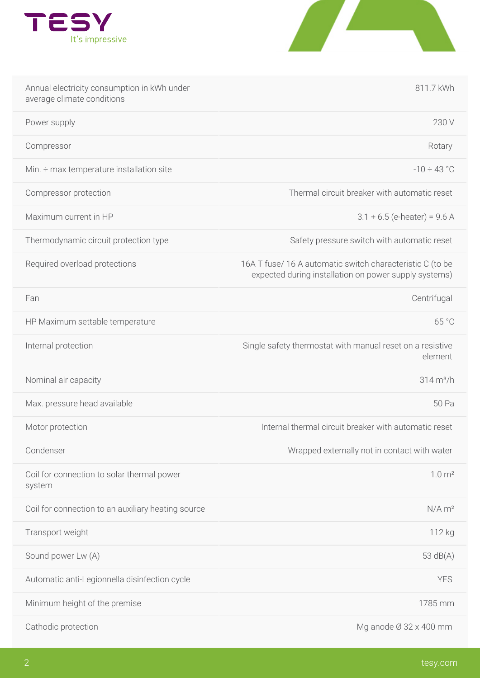

| Annual electricity consumption in kWh under<br>average climate conditions |                                                                                | 811.7 kWh                       |
|---------------------------------------------------------------------------|--------------------------------------------------------------------------------|---------------------------------|
| Power supply                                                              |                                                                                | 230 V                           |
| Compressor                                                                |                                                                                | Rotary                          |
| Min. $\div$ max temperature installation site                             |                                                                                | $-10 \div 43$ °                 |
| Compressor protection                                                     |                                                                                | Thermal circuit breaker with au |
| Maximum current in HP                                                     |                                                                                | $3.1 + 6.5$ (e-heater)          |
| Thermodynamic circuit protection type                                     |                                                                                | Safety pressure switch with aut |
| Required overload protections                                             | 16A T fuse/16 A automatic switch char<br>expected during installation on power |                                 |
| Fan                                                                       |                                                                                | Centrifugal                     |
| HP Maximum settable temperature                                           |                                                                                | 65 °C                           |
| Internal protection                                                       | Single safety thermostat with manual re                                        | element                         |
| Nominal air capacity                                                      |                                                                                | $314 \text{ m}^3/h$             |
| Max. pressure head available                                              |                                                                                | 50 Pa                           |
| Motor protection                                                          | Internal thermal circuit breaker with                                          |                                 |
| Condenser                                                                 | Wrapped externally not in conta                                                |                                 |
| Coil for connection to solar thermal power<br>system                      |                                                                                | 1.0 m <sup>2</sup>              |
| Coil for connection to an auxiliary heating source                        |                                                                                | $N/A$ m <sup>2</sup>            |
| Transport weight                                                          |                                                                                | 112 kg                          |
| Sound power Lw (A)                                                        |                                                                                | $53 \text{ dB}(A)$              |
| Automatic anti-Legionnella disinfection cycle                             |                                                                                | YES                             |
| Minimum height of the premise                                             |                                                                                | 1785 mm                         |
| Cathodic protection                                                       |                                                                                | Mg anode $\varnothing$ 32 x 400 |